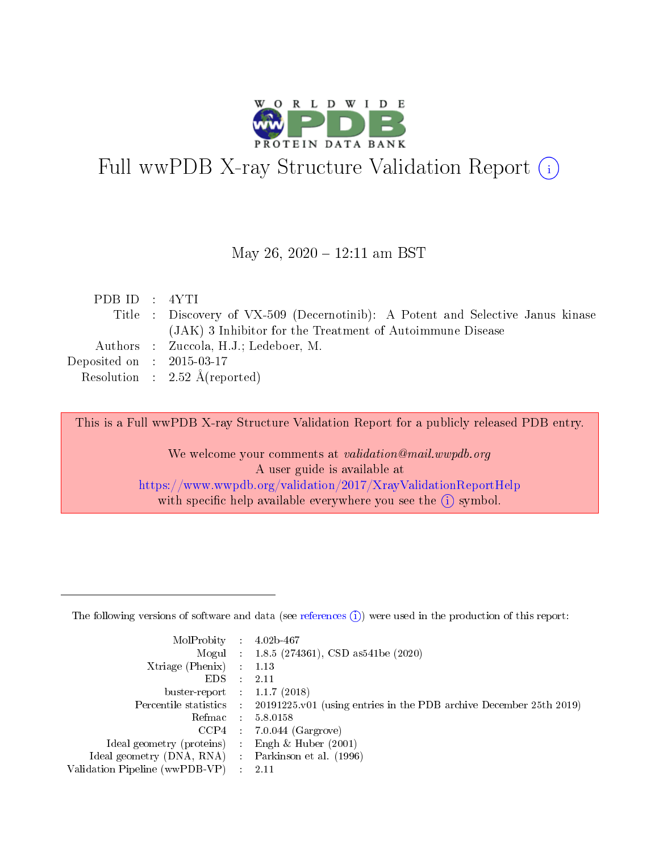

# Full wwPDB X-ray Structure Validation Report (i)

May 26, 2020 - 12:11 am BST

| PDBID : 4YTI                |                                                                                 |
|-----------------------------|---------------------------------------------------------------------------------|
|                             | Title : Discovery of VX-509 (Decernotinib): A Potent and Selective Janus kinase |
|                             | (JAK) 3 Inhibitor for the Treatment of Autoimmune Disease                       |
|                             | Authors : Zuccola, H.J.; Ledeboer, M.                                           |
| Deposited on : $2015-03-17$ |                                                                                 |
|                             | Resolution : $2.52 \text{ Å}$ (reported)                                        |
|                             |                                                                                 |

This is a Full wwPDB X-ray Structure Validation Report for a publicly released PDB entry.

We welcome your comments at validation@mail.wwpdb.org A user guide is available at <https://www.wwpdb.org/validation/2017/XrayValidationReportHelp> with specific help available everywhere you see the  $(i)$  symbol.

The following versions of software and data (see [references](https://www.wwpdb.org/validation/2017/XrayValidationReportHelp#references)  $(1)$ ) were used in the production of this report:

| $MolProbability$ 4.02b-467                        |                     |                                                                                            |
|---------------------------------------------------|---------------------|--------------------------------------------------------------------------------------------|
|                                                   |                     | Mogul : $1.8.5$ (274361), CSD as 541be (2020)                                              |
| $X$ triage (Phenix) :                             |                     | 1.13                                                                                       |
| EDS –                                             | $\mathcal{L}^{\pm}$ | 2.11                                                                                       |
| buster-report : $1.1.7$ (2018)                    |                     |                                                                                            |
|                                                   |                     | Percentile statistics : 20191225.v01 (using entries in the PDB archive December 25th 2019) |
|                                                   |                     | Refmac $5.8.0158$                                                                          |
|                                                   |                     | $CCP4$ 7.0.044 (Gargrove)                                                                  |
| Ideal geometry (proteins) :                       |                     | Engh $\&$ Huber (2001)                                                                     |
| Ideal geometry (DNA, RNA) Parkinson et al. (1996) |                     |                                                                                            |
| Validation Pipeline (wwPDB-VP) : 2.11             |                     |                                                                                            |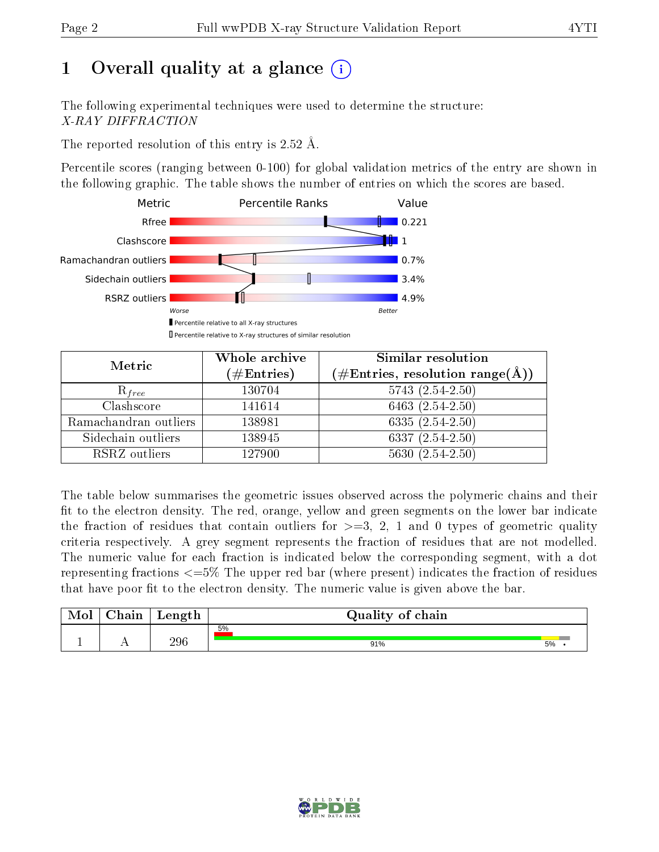# 1 [O](https://www.wwpdb.org/validation/2017/XrayValidationReportHelp#overall_quality)verall quality at a glance  $(i)$

The following experimental techniques were used to determine the structure: X-RAY DIFFRACTION

The reported resolution of this entry is 2.52 Å.

Percentile scores (ranging between 0-100) for global validation metrics of the entry are shown in the following graphic. The table shows the number of entries on which the scores are based.



| Metric                | Whole archive<br>$(\#\text{Entries})$ | Similar resolution<br>$(\#\text{Entries}, \, \text{resolution range}(\textup{\AA}))$ |
|-----------------------|---------------------------------------|--------------------------------------------------------------------------------------|
| $R_{free}$            | 130704                                | $5743(2.54-2.50)$                                                                    |
| Clashscore            | 141614                                | 6463 $(2.54 - 2.50)$                                                                 |
| Ramachandran outliers | 138981                                | $6335(2.54-2.50)$                                                                    |
| Sidechain outliers    | 138945                                | 6337 $(2.54 - 2.50)$                                                                 |
| RSRZ outliers         | 127900                                | $5630(2.54-2.50)$                                                                    |

The table below summarises the geometric issues observed across the polymeric chains and their fit to the electron density. The red, orange, yellow and green segments on the lower bar indicate the fraction of residues that contain outliers for  $>=3, 2, 1$  and 0 types of geometric quality criteria respectively. A grey segment represents the fraction of residues that are not modelled. The numeric value for each fraction is indicated below the corresponding segment, with a dot representing fractions  $\epsilon=5\%$  The upper red bar (where present) indicates the fraction of residues that have poor fit to the electron density. The numeric value is given above the bar.

| Mol | $\sim$ $\sim$<br>hain | Length | Quality of chain |    |  |
|-----|-----------------------|--------|------------------|----|--|
|     |                       | 296    | 5%               | 5% |  |
| л.  | . .                   |        | 91%              |    |  |

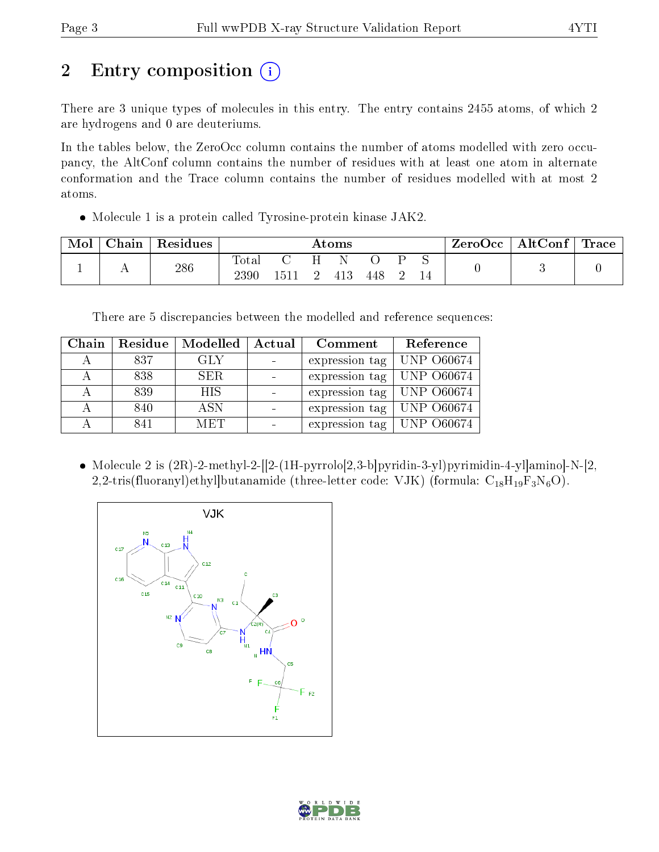# 2 Entry composition (i)

There are 3 unique types of molecules in this entry. The entry contains 2455 atoms, of which 2 are hydrogens and 0 are deuteriums.

In the tables below, the ZeroOcc column contains the number of atoms modelled with zero occupancy, the AltConf column contains the number of residues with at least one atom in alternate conformation and the Trace column contains the number of residues modelled with at most 2 atoms.

Molecule 1 is a protein called Tyrosine-protein kinase JAK2.

| Mol | Chain | Residues | $\bm{\mathrm{Atoms}}$  |    |  |     |     | ZeroOcc | $\vert$ AltConf $\vert$ Trace |  |  |  |
|-----|-------|----------|------------------------|----|--|-----|-----|---------|-------------------------------|--|--|--|
|     |       | 286      | $\text{Total}$<br>2390 | 51 |  | 413 | 448 |         | ◡                             |  |  |  |

There are 5 discrepancies between the modelled and reference sequences:

| Chain | Residue | Modelled   | Actual | Comment                       | Reference  |
|-------|---------|------------|--------|-------------------------------|------------|
|       | 837     | GLY        |        | expression tag                | UNP 060674 |
|       | 838     | SER.       |        | expression tag   UNP 060674   |            |
|       | 839     | <b>HIS</b> |        | expression tag   UNP 060674   |            |
|       | 840     | ASN        |        | expression tag   UNP $060674$ |            |
|       | 841     | MET        |        | expression tag   UNP $060674$ |            |

• Molecule 2 is  $(2R)$ -2-methyl-2- $[2-(1H-pyrro]0[2,3-b]pyridin-3-yl)pyrimidin-4-yl]amino]-N-[2,$ 2,2-tris(fluoranyl)ethyl|butanamide (three-letter code: VJK) (formula:  $C_{18}H_{19}F_3N_6O$ ).



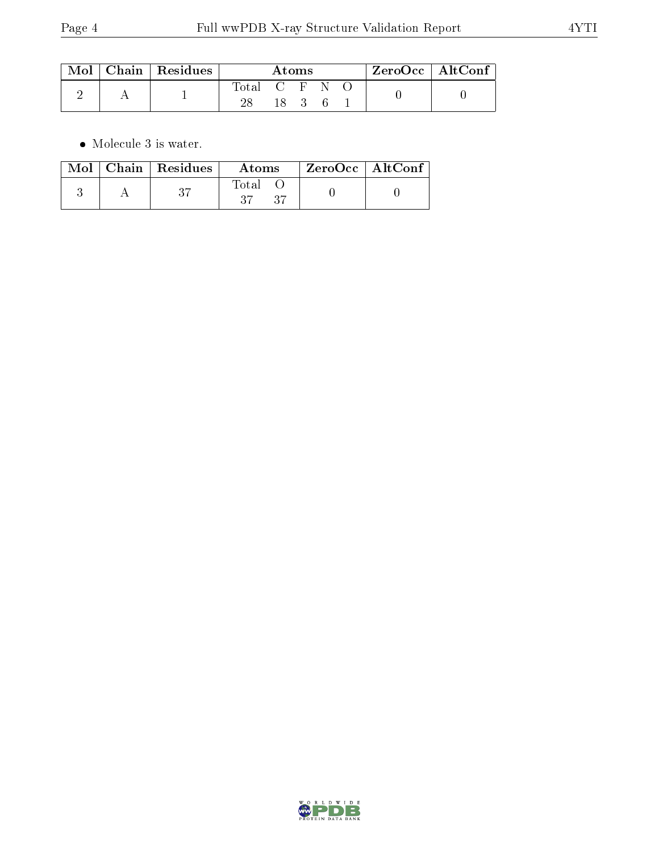|  | $\;$ Mol $\,$ Chain $\,$ Residues $\,$ | Atoms         |      |  |  | $ZeroOcc \mid AltConf$ |  |  |
|--|----------------------------------------|---------------|------|--|--|------------------------|--|--|
|  |                                        | Total C F N O |      |  |  |                        |  |  |
|  |                                        |               | 18 3 |  |  |                        |  |  |

 $\bullet\,$  Molecule 3 is water.

|  | $\text{Mol}$   Chain   Residues | Atoms        | $\mid$ ZeroOcc $\mid$ AltConf |  |
|--|---------------------------------|--------------|-------------------------------|--|
|  | 27                              | Total<br>-97 |                               |  |

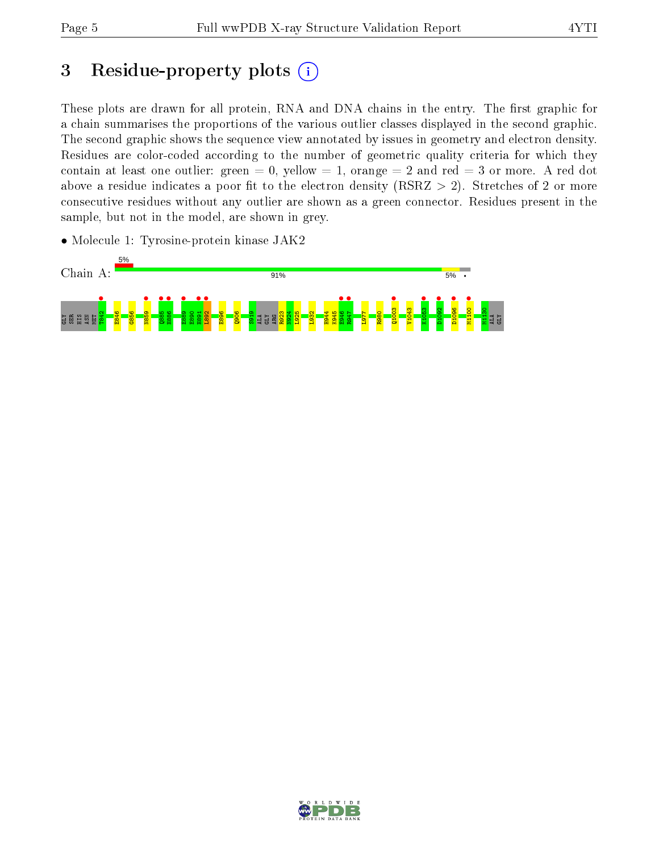## 3 Residue-property plots  $(i)$

These plots are drawn for all protein, RNA and DNA chains in the entry. The first graphic for a chain summarises the proportions of the various outlier classes displayed in the second graphic. The second graphic shows the sequence view annotated by issues in geometry and electron density. Residues are color-coded according to the number of geometric quality criteria for which they contain at least one outlier: green  $= 0$ , yellow  $= 1$ , orange  $= 2$  and red  $= 3$  or more. A red dot above a residue indicates a poor fit to the electron density (RSRZ  $> 2$ ). Stretches of 2 or more consecutive residues without any outlier are shown as a green connector. Residues present in the sample, but not in the model, are shown in grey.

• Molecule 1: Tyrosine-protein kinase JAK2



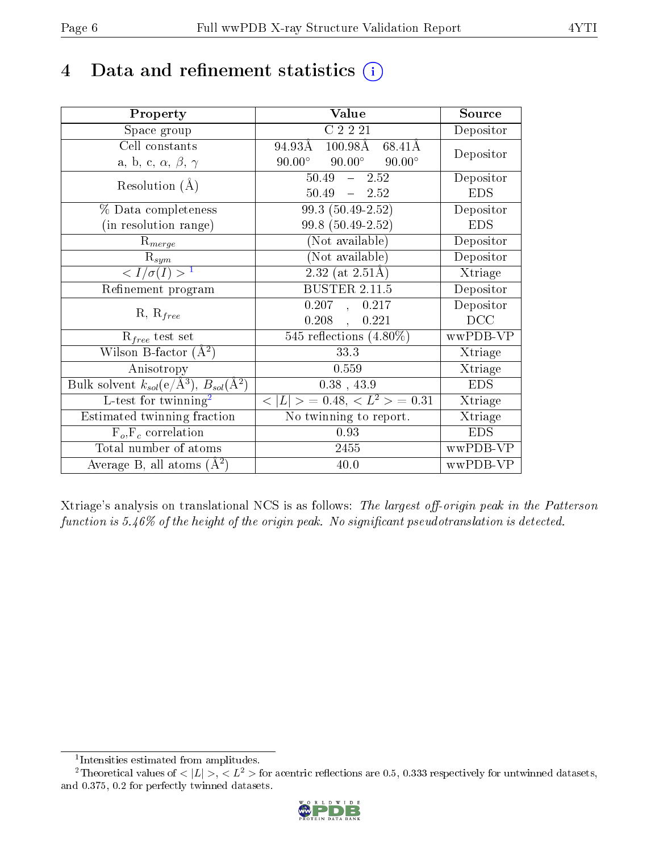## 4 Data and refinement statistics  $(i)$

| Property                                                         | Value                                              | Source     |
|------------------------------------------------------------------|----------------------------------------------------|------------|
| Space group                                                      | C2221                                              | Depositor  |
| Cell constants                                                   | 94.93Å<br>$100.98\text{\AA}$ 68.41Å                | Depositor  |
| a, b, c, $\alpha$ , $\beta$ , $\gamma$                           | $90.00^{\circ}$ $90.00^{\circ}$<br>$90.00^{\circ}$ |            |
| Resolution $(A)$                                                 | $50.49 - 2.52$                                     | Depositor  |
|                                                                  | $50.49 = 2.52$                                     | <b>EDS</b> |
| % Data completeness                                              | $99.3(50.49-2.52)$                                 | Depositor  |
| (in resolution range)                                            | 99.8 (50.49-2.52)                                  | <b>EDS</b> |
| $R_{merge}$                                                      | (Not available)                                    | Depositor  |
| $\mathrm{R}_{sym}$                                               | (Not available)                                    | Depositor  |
| $\langle I/\sigma(I) \rangle^{-1}$                               | $2.32$ (at $2.51\text{\AA}$ )                      | Xtriage    |
| Refinement program                                               | <b>BUSTER 2.11.5</b>                               | Depositor  |
| $R, R_{free}$                                                    | 0.207, 0.217                                       | Depositor  |
|                                                                  | $0.208$ ,<br>0.221                                 | DCC        |
| $\mathcal{R}_{free}$ test set                                    | 545 reflections $(4.80\%)$                         | wwPDB-VP   |
| Wilson B-factor $(A^2)$                                          | 33.3                                               | Xtriage    |
| Anisotropy                                                       | 0.559                                              | Xtriage    |
| Bulk solvent $k_{sol}(\text{e}/\text{A}^3), B_{sol}(\text{A}^2)$ | $0.38$ , 43.9                                      | <b>EDS</b> |
| L-test for $\mathrm{twinning}^2$                                 | $< L >$ = 0.48, $< L^2 >$ = 0.31                   | Xtriage    |
| Estimated twinning fraction                                      | $\overline{\text{No}}$ twinning to report.         | Xtriage    |
| $F_o, F_c$ correlation                                           | 0.93                                               | <b>EDS</b> |
| Total number of atoms                                            | 2455                                               | wwPDB-VP   |
| Average B, all atoms $(A^2)$                                     | 40.0                                               | wwPDB-VP   |

Xtriage's analysis on translational NCS is as follows: The largest off-origin peak in the Patterson function is  $5.46\%$  of the height of the origin peak. No significant pseudotranslation is detected.

<sup>&</sup>lt;sup>2</sup>Theoretical values of  $\langle |L| \rangle$ ,  $\langle L^2 \rangle$  for acentric reflections are 0.5, 0.333 respectively for untwinned datasets, and 0.375, 0.2 for perfectly twinned datasets.



<span id="page-5-1"></span><span id="page-5-0"></span><sup>1</sup> Intensities estimated from amplitudes.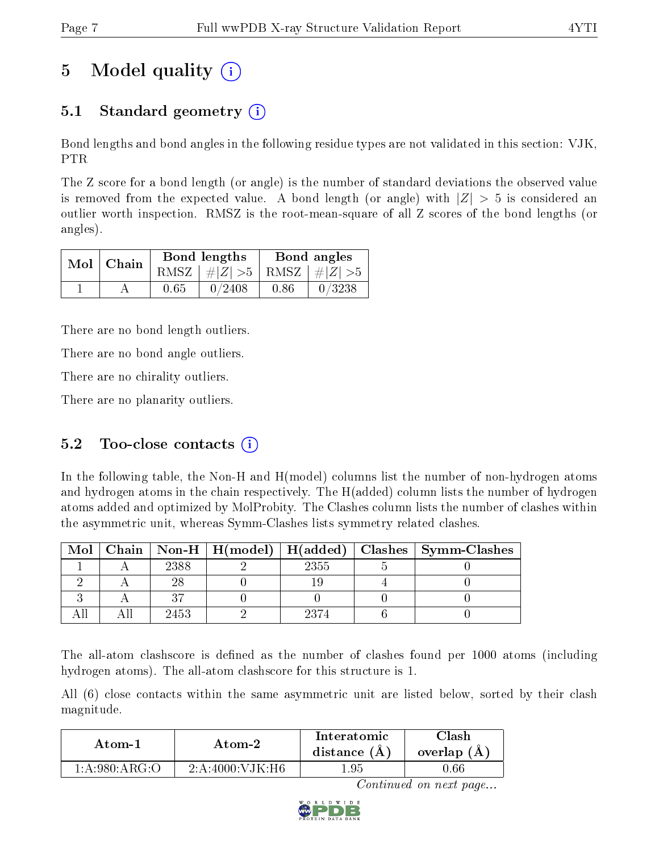# 5 Model quality  $(i)$

### 5.1 Standard geometry (i)

Bond lengths and bond angles in the following residue types are not validated in this section: VJK, PTR

The Z score for a bond length (or angle) is the number of standard deviations the observed value is removed from the expected value. A bond length (or angle) with  $|Z| > 5$  is considered an outlier worth inspection. RMSZ is the root-mean-square of all Z scores of the bond lengths (or angles).

| $Mol$   Chain |      | Bond lengths                    | Bond angles |        |  |
|---------------|------|---------------------------------|-------------|--------|--|
|               |      | RMSZ $ #Z  > 5$ RMSZ $ #Z  > 5$ |             |        |  |
|               | 0.65 | 0/2408                          | 0.86        | 0/3238 |  |

There are no bond length outliers.

There are no bond angle outliers.

There are no chirality outliers.

There are no planarity outliers.

### 5.2 Too-close contacts  $(i)$

In the following table, the Non-H and H(model) columns list the number of non-hydrogen atoms and hydrogen atoms in the chain respectively. The H(added) column lists the number of hydrogen atoms added and optimized by MolProbity. The Clashes column lists the number of clashes within the asymmetric unit, whereas Symm-Clashes lists symmetry related clashes.

| Mol |      |      | $\mid$ Chain $\mid$ Non-H $\mid$ H(model) $\mid$ H(added) $\mid$ Clashes $\mid$ Symm-Clashes $\mid$ |
|-----|------|------|-----------------------------------------------------------------------------------------------------|
|     | 2388 | 2355 |                                                                                                     |
|     |      |      |                                                                                                     |
|     |      |      |                                                                                                     |
|     | 2453 | 9374 |                                                                                                     |

The all-atom clashscore is defined as the number of clashes found per 1000 atoms (including hydrogen atoms). The all-atom clashscore for this structure is 1.

All (6) close contacts within the same asymmetric unit are listed below, sorted by their clash magnitude.

| Atom-2                 |                              | Interatomic    | `lash      |
|------------------------|------------------------------|----------------|------------|
| Atom-1                 |                              | distance $(A)$ | overlap (A |
| $1: A:980:A \, R G:$ O | $-2$ : A:4000: V JK : H6 $-$ | ' 95.          | 1.66       |

Continued on next page...

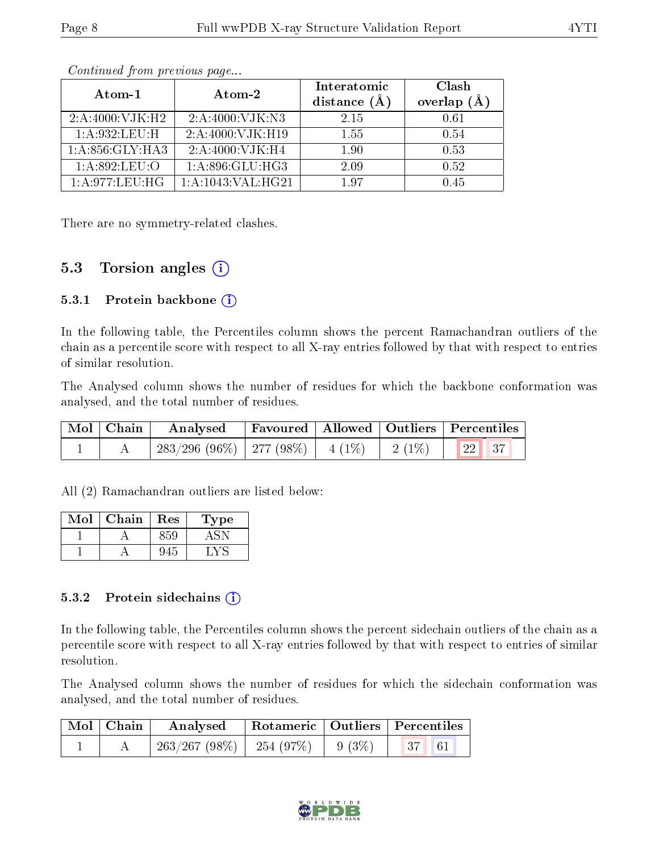| Atom-1            | Atom-2                | Interatomic<br>distance $(A)$ | Clash<br>overlap<br>(A) |
|-------------------|-----------------------|-------------------------------|-------------------------|
| 2: A:4000: VJK:H2 | 2: A:4000: VJK: N3    | 2.15                          | 0.61                    |
| 1:A:932:LEU:H     | 2: A:4000: VJK:H19    | 1.55                          | 0.54                    |
| 1: A:856: GLY:HA3 | 2: A:4000: VJK:H4     | 1.90                          | 0.53                    |
| 1: A:892:LEU:O    | 1: A:896: GLU:HG3     | 2.09                          | 0.52                    |
| 1: A:977:LEU:HG   | 1: A: 1043: VAL: HG21 | 197                           | l 45                    |

Continued from previous page...

There are no symmetry-related clashes.

### 5.3 Torsion angles  $(i)$

#### 5.3.1 Protein backbone  $(i)$

In the following table, the Percentiles column shows the percent Ramachandran outliers of the chain as a percentile score with respect to all X-ray entries followed by that with respect to entries of similar resolution.

The Analysed column shows the number of residues for which the backbone conformation was analysed, and the total number of residues.

| Mol   Chain | Analysed                                |  |          | Favoured   Allowed   Outliers   Percentiles |  |
|-------------|-----------------------------------------|--|----------|---------------------------------------------|--|
|             | $283/296$ (96\%)   277 (98\%)   4 (1\%) |  | $2(1\%)$ | 22 37                                       |  |

All (2) Ramachandran outliers are listed below:

| Mol | Chain | Res | 1 ype |
|-----|-------|-----|-------|
|     |       |     |       |
|     |       |     |       |

#### 5.3.2 Protein sidechains  $(i)$

In the following table, the Percentiles column shows the percent sidechain outliers of the chain as a percentile score with respect to all X-ray entries followed by that with respect to entries of similar resolution.

The Analysed column shows the number of residues for which the sidechain conformation was analysed, and the total number of residues.

| $\mid$ Mol $\mid$ Chain | Analysed                                   |  | Rotameric   Outliers   Percentiles                               |  |
|-------------------------|--------------------------------------------|--|------------------------------------------------------------------|--|
|                         | $-263/267$ (98\%) $-254$ (97\%) $-9$ (3\%) |  | $\begin{array}{ c c c c c } \hline 37 & 61 \\\hline \end{array}$ |  |

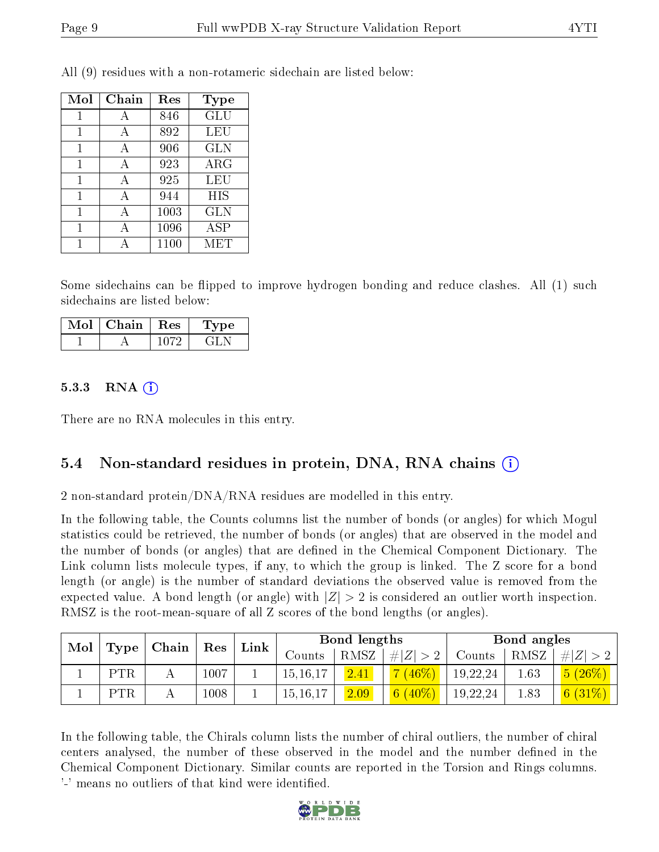| Mol | ${\rm Chain}$ | Res  | Type       |
|-----|---------------|------|------------|
| 1   | А             | 846  | <b>GLU</b> |
| 1   | А             | 892  | LEU        |
|     | А             | 906  | <b>GLN</b> |
| 1   | А             | 923  | $\rm{ARG}$ |
| 1   | A             | 925  | LEU        |
| 1   | А             | 944  | HIS        |
| 1   | A             | 1003 | GLN        |
| 1   | А             | 1096 | <b>ASP</b> |
|     |               | 1100 | MET        |

All (9) residues with a non-rotameric sidechain are listed below:

Some sidechains can be flipped to improve hydrogen bonding and reduce clashes. All (1) such sidechains are listed below:

| Mol | $\Box$ Chain $\Box$ | Res | Type |
|-----|---------------------|-----|------|
|     |                     |     | 71 P |

#### $5.3.3$  RNA  $(i)$

There are no RNA molecules in this entry.

#### 5.4 Non-standard residues in protein, DNA, RNA chains (i)

2 non-standard protein/DNA/RNA residues are modelled in this entry.

In the following table, the Counts columns list the number of bonds (or angles) for which Mogul statistics could be retrieved, the number of bonds (or angles) that are observed in the model and the number of bonds (or angles) that are dened in the Chemical Component Dictionary. The Link column lists molecule types, if any, to which the group is linked. The Z score for a bond length (or angle) is the number of standard deviations the observed value is removed from the expected value. A bond length (or angle) with  $|Z| > 2$  is considered an outlier worth inspection. RMSZ is the root-mean-square of all Z scores of the bond lengths (or angles).

|     |                   |       |                      |      |               | Bond lengths |                            |          | Bond angles |            |
|-----|-------------------|-------|----------------------|------|---------------|--------------|----------------------------|----------|-------------|------------|
| Mol | Type <sup>1</sup> | Chain | $\operatorname{Res}$ | Link | $\rm{Counts}$ | RMSZ         | . $\# Z  > 2$              | Counts   | RMSZ        | # Z        |
|     | <b>PTR</b>        |       | 1007                 |      | 15, 16, 17    | 2.41         | 46%                        | 19,22,24 | 1.63        | $5(26\%)$  |
|     | PTR               |       | 1008                 |      | 15, 16, 17    | 2.09         | 6 <sup>1</sup><br>$(40\%)$ | 19,22,24 | 1.83        | 6 $(31\%)$ |

In the following table, the Chirals column lists the number of chiral outliers, the number of chiral centers analysed, the number of these observed in the model and the number defined in the Chemical Component Dictionary. Similar counts are reported in the Torsion and Rings columns. '-' means no outliers of that kind were identified.

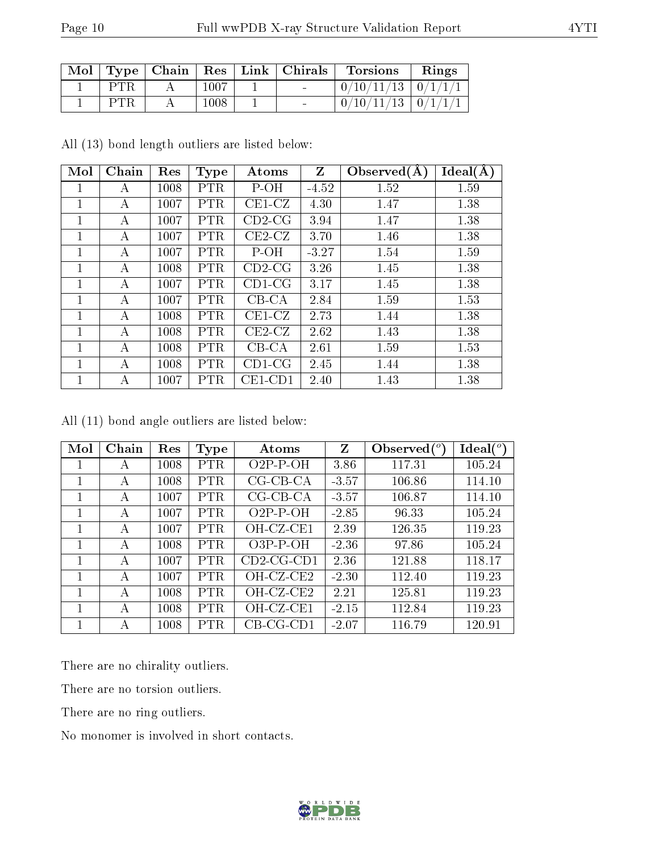|  |      | $\vert$ Mol $\vert$ Type $\vert$ Chain $\vert$ Res $\vert$ Link $\vert$ Chirals | <b>Torsions</b>          | Rings |
|--|------|---------------------------------------------------------------------------------|--------------------------|-------|
|  | 1007 | $\sim$                                                                          | $0/10/11/13$   $0/1/1/1$ |       |
|  | 1008 |                                                                                 | $0/10/11/13$   $0/1/1/1$ |       |

All (13) bond length outliers are listed below:

| Mol          | Chain | Res  | <b>Type</b> | Atoms      | Z       | Observed $(A)$ | Ideal(A) |
|--------------|-------|------|-------------|------------|---------|----------------|----------|
| 1            | А     | 1008 | <b>PTR</b>  | P-OH       | $-4.52$ | 1.52           | 1.59     |
| 1            | А     | 1007 | <b>PTR</b>  | $CE1-CZ$   | 4.30    | 1.47           | 1.38     |
| 1            | А     | 1007 | <b>PTR</b>  | $CD2-CG$   | 3.94    | 1.47           | 1.38     |
| 1            | А     | 1007 | <b>PTR</b>  | $CE2-CZ$   | 3.70    | 1.46           | 1.38     |
| $\mathbf{1}$ | А     | 1007 | <b>PTR</b>  | $P-OH$     | $-3.27$ | 1.54           | 1.59     |
| 1            | А     | 1008 | <b>PTR</b>  | $CD2-CG$   | 3.26    | 1.45           | 1.38     |
| 1            | А     | 1007 | <b>PTR</b>  | $CD1-CG$   | 3.17    | 1.45           | 1.38     |
| 1            | А     | 1007 | <b>PTR</b>  | $CB-CA$    | 2.84    | 1.59           | 1.53     |
| 1            | A     | 1008 | <b>PTR</b>  | $CE1-CZ$   | 2.73    | 1.44           | 1.38     |
| 1            | А     | 1008 | <b>PTR</b>  | $CE2-CZ$   | 2.62    | 1.43           | 1.38     |
| 1            | А     | 1008 | <b>PTR</b>  | $CB-CA$    | 2.61    | 1.59           | 1.53     |
| 1            | А     | 1008 | <b>PTR</b>  | $CD1-CG$   | 2.45    | 1.44           | 1.38     |
| 1            | А     | 1007 | <b>PTR</b>  | $CE1$ -CD1 | 2.40    | 1.43           | 1.38     |

All (11) bond angle outliers are listed below:

| Mol | Chain | Res  | Type       | Atoms        | Z       | Observed $\binom{o}{c}$ | Ideal $(^\circ)$ |
|-----|-------|------|------------|--------------|---------|-------------------------|------------------|
|     | А     | 1008 | PTR        | $O2P-P-OH$   | 3.86    | 117.31                  | 105.24           |
|     | А     | 1008 | <b>PTR</b> | $CG-CB-CA$   | $-3.57$ | 106.86                  | 114.10           |
|     | А     | 1007 | PTR.       | $CG-CB-CA$   | $-3.57$ | 106.87                  | 114.10           |
|     | А     | 1007 | PTR.       | $O2P-P-OH$   | $-2.85$ | 96.33                   | 105.24           |
|     | А     | 1007 | PTR.       | OH-CZ-CE1    | 2.39    | 126.35                  | 119.23           |
|     | А     | 1008 | PTR        | $O3P-P-OH$   | $-2.36$ | 97.86                   | 105.24           |
|     | А     | 1007 | PTR.       | $CD2-CG-CD1$ | 2.36    | 121.88                  | 118.17           |
|     | А     | 1007 | <b>PTR</b> | OH-CZ-CE2    | $-2.30$ | 112.40                  | 119.23           |
|     | А     | 1008 | PTR        | OH-CZ-CE2    | 2.21    | 125.81                  | 119.23           |
|     | А     | 1008 | PTR        | OH-CZ-CE1    | $-2.15$ | 112.84                  | 119.23           |
|     | А     | 1008 | PTR        | $CB-CG-CD1$  | $-2.07$ | 116.79                  | 120.91           |

There are no chirality outliers.

There are no torsion outliers.

There are no ring outliers.

No monomer is involved in short contacts.

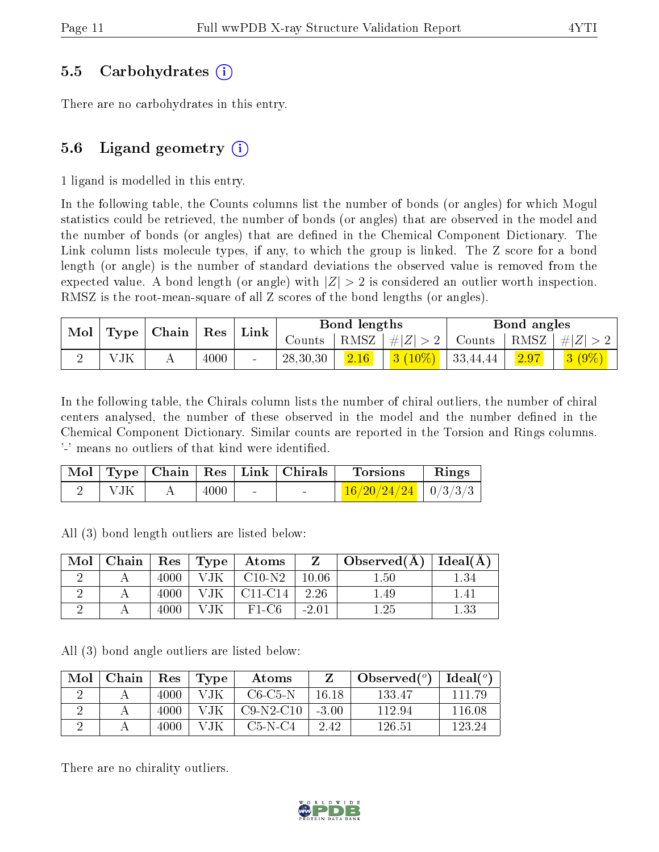#### 5.5 Carbohydrates (i)

There are no carbohydrates in this entry.

#### 5.6 Ligand geometry  $(i)$

1 ligand is modelled in this entry.

In the following table, the Counts columns list the number of bonds (or angles) for which Mogul statistics could be retrieved, the number of bonds (or angles) that are observed in the model and the number of bonds (or angles) that are dened in the Chemical Component Dictionary. The Link column lists molecule types, if any, to which the group is linked. The Z score for a bond length (or angle) is the number of standard deviations the observed value is removed from the expected value. A bond length (or angle) with  $|Z| > 2$  is considered an outlier worth inspection. RMSZ is the root-mean-square of all Z scores of the bond lengths (or angles).

| $\mid$ Mol $\mid$ |     | $\vert$ Type $\vert$ Chain $\vert$ Res $\vert$ |      |                 |                              | Bond lengths   |                                         | Bond angles      |                                                                              |
|-------------------|-----|------------------------------------------------|------|-----------------|------------------------------|----------------|-----------------------------------------|------------------|------------------------------------------------------------------------------|
|                   |     |                                                |      | $^+$ Link $_+$  | $\sqrt{\rm \textit{counts}}$ |                |                                         |                  | $\mid$ RMSZ $\mid$ $\# Z  > 2 \mid$ Counts $\mid$ RMSZ $\mid \# Z  > 2 \mid$ |
|                   | VJK |                                                | 4000 | $\qquad \qquad$ | 28,30,30                     | $\boxed{2.16}$ | $\left 3\right\rangle(10\%)$   33,44,44 | $\frac{2.97}{ }$ | $\frac{1}{3}$ $(9\%)$                                                        |

In the following table, the Chirals column lists the number of chiral outliers, the number of chiral centers analysed, the number of these observed in the model and the number defined in the Chemical Component Dictionary. Similar counts are reported in the Torsion and Rings columns. '-' means no outliers of that kind were identified.

|  |      |        | Mol   Type   Chain   Res   Link   Chirals | <b>Torsions</b>           | Rings |
|--|------|--------|-------------------------------------------|---------------------------|-------|
|  | 4000 | $\sim$ | $\sim$ 100 $\sim$                         | $16/20/24/24$   $0/3/3/3$ |       |

All (3) bond length outliers are listed below:

| Mol | Chain | Res      | $\top$ Type $\top$ | Atoms     |         | Observed $(A)$ | Ideal(A) |
|-----|-------|----------|--------------------|-----------|---------|----------------|----------|
|     |       | 4000     |                    | $C10-N2$  | 10.06   | l.50           | 1.34     |
|     |       | $4000\,$ | JK.                | $C11-C14$ | 2.26    | l.49           | 1.41     |
|     |       | 4000     |                    | $F1-C6$   | $-2.01$ |                | $1.33\,$ |

All (3) bond angle outliers are listed below:

| Mol | Chain | Res  | Type | Atoms       |         | Observed $(°)$ | Ideal $({}^o)$ |
|-----|-------|------|------|-------------|---------|----------------|----------------|
|     |       | 4000 | VJK  | C6-C5-N     | 16 18   | 133.47         | 111.79         |
|     |       | 4000 | VJK  | $C9-N2-C10$ | $-3.00$ | 112.94         | 116.08         |
|     |       | 4000 | V.IK | C5-N-C4     | 2.42    | 126.51         | 123.24         |

There are no chirality outliers.

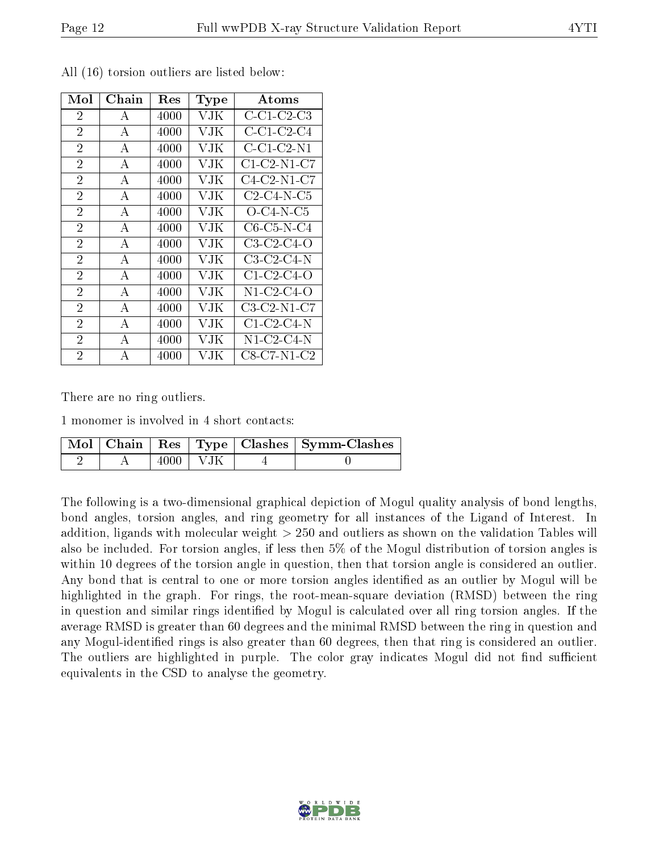| Mol            | $Chain$      | Res  | <b>Type</b> | Atoms                |
|----------------|--------------|------|-------------|----------------------|
| $\overline{2}$ | А            | 4000 | VJK         | C-C1-C2-C3           |
| $\overline{2}$ | $\bf{A}$     | 4000 | VJK         | C-C1-C2-C4           |
| $\overline{2}$ | A            | 4000 | VJK         | $C$ -C1-C2-N1        |
| $\overline{2}$ | $\mathbf{A}$ | 4000 | VJK         | $C1-C2-N1-C7$        |
| $\overline{2}$ | A            | 4000 | VJK         | $C4-C2-N1-C7$        |
| $\overline{2}$ | А            | 4000 | VJK         | $C2-C4-N-C5$         |
| $\overline{2}$ | А            | 4000 | VJK         | $O$ -C4-N-C5         |
| $\overline{2}$ | А            | 4000 | VJK         | $C6$ - $C5$ -N- $C4$ |
| $\overline{2}$ | A            | 4000 | VJK         | $C3-C2-C4-O$         |
| $\overline{2}$ | $\mathbf{A}$ | 4000 | VJK         | $C3-C2-C4-N$         |
| $\overline{2}$ | A            | 4000 | VJK         | $C1-C2-C4-O$         |
| $\overline{2}$ | А            | 4000 | VJK         | $N1$ -C2-C4-O        |
| $\overline{2}$ | А            | 4000 | VJK         | $C3-C2-N1-C7$        |
| $\overline{2}$ | A            | 4000 | VJK         | $C1-C2-C4-N$         |
| $\overline{2}$ | А            | 4000 | VJK         | $N1$ -C2-C4- $N$     |
| $\overline{2}$ | А            | 4000 | VJK         | $C8$ -C7-N1-C2       |

All (16) torsion outliers are listed below:

There are no ring outliers.

1 monomer is involved in 4 short contacts:

|  |              | Mol   Chain   Res   Type   Clashes   Symm-Clashes |
|--|--------------|---------------------------------------------------|
|  | $4000$   VJK |                                                   |

The following is a two-dimensional graphical depiction of Mogul quality analysis of bond lengths, bond angles, torsion angles, and ring geometry for all instances of the Ligand of Interest. In addition, ligands with molecular weight > 250 and outliers as shown on the validation Tables will also be included. For torsion angles, if less then 5% of the Mogul distribution of torsion angles is within 10 degrees of the torsion angle in question, then that torsion angle is considered an outlier. Any bond that is central to one or more torsion angles identified as an outlier by Mogul will be highlighted in the graph. For rings, the root-mean-square deviation (RMSD) between the ring in question and similar rings identified by Mogul is calculated over all ring torsion angles. If the average RMSD is greater than 60 degrees and the minimal RMSD between the ring in question and any Mogul-identified rings is also greater than 60 degrees, then that ring is considered an outlier. The outliers are highlighted in purple. The color gray indicates Mogul did not find sufficient equivalents in the CSD to analyse the geometry.

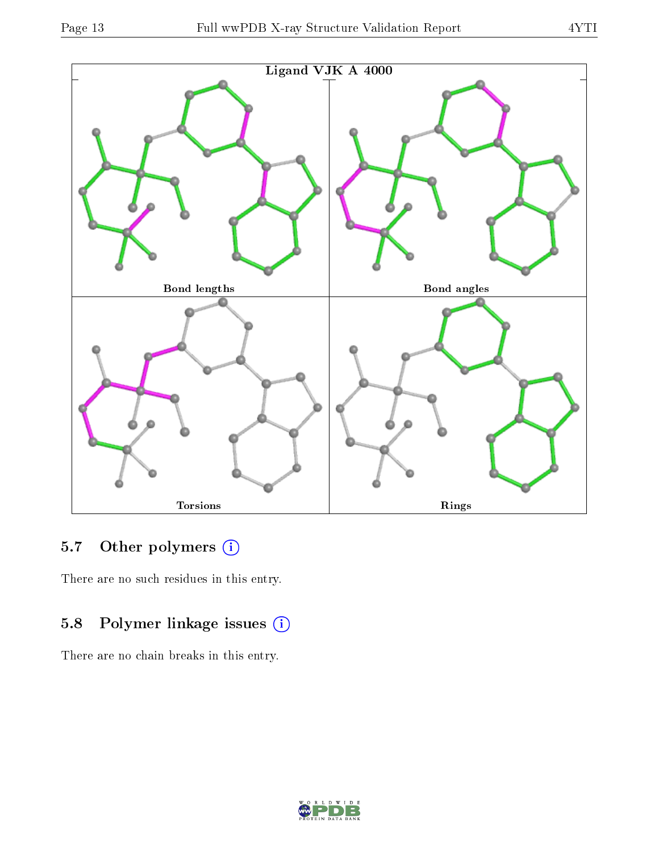

## 5.7 [O](https://www.wwpdb.org/validation/2017/XrayValidationReportHelp#nonstandard_residues_and_ligands)ther polymers (i)

There are no such residues in this entry.

### 5.8 Polymer linkage issues (i)

There are no chain breaks in this entry.

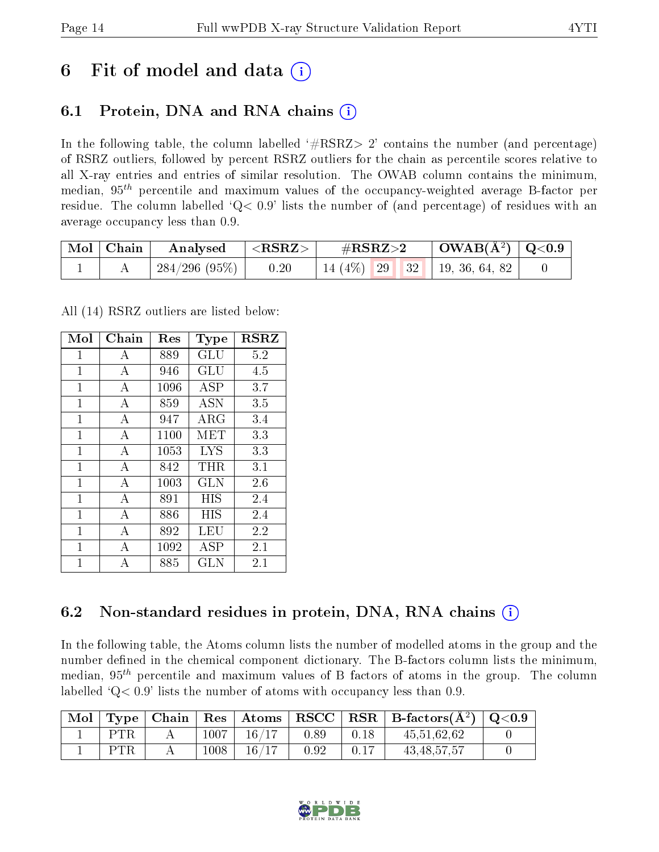## 6 Fit of model and data  $\left( \cdot \right)$

### 6.1 Protein, DNA and RNA chains (i)

In the following table, the column labelled  $#RSRZ>2'$  contains the number (and percentage) of RSRZ outliers, followed by percent RSRZ outliers for the chain as percentile scores relative to all X-ray entries and entries of similar resolution. The OWAB column contains the minimum, median,  $95<sup>th</sup>$  percentile and maximum values of the occupancy-weighted average B-factor per residue. The column labelled ' $Q< 0.9$ ' lists the number of (and percentage) of residues with an average occupancy less than 0.9.

| Mol   Chain | Analysed $ \langle \text{RSRZ}\rangle $ |      | $\#\text{RSRZ}\text{>2}$            | $\mid$ OWAB(Å <sup>2</sup> ) $\mid$ Q<0.9 |  |
|-------------|-----------------------------------------|------|-------------------------------------|-------------------------------------------|--|
|             | $\mid$ 284/296 (95%) $\mid$             | 0.20 | 14 (4\%)   29   32   19, 36, 64, 82 |                                           |  |

All (14) RSRZ outliers are listed below:

| Mol            | Chain          | Res  | Type       | <b>RSRZ</b> |
|----------------|----------------|------|------------|-------------|
| 1              | А              | 889  | GLU        | 5.2         |
| $\mathbf 1$    | А              | 946  | GLU        | 4.5         |
| $\mathbf 1$    | A              | 1096 | ASP        | 3.7         |
| $\mathbf{1}$   | А              | 859  | ASN        | 3.5         |
| $\mathbf{1}$   | A              | 947  | ARG        | 3.4         |
| $\mathbf{1}$   | А              | 1100 | MET        | 3.3         |
| $\mathbf{1}$   | A              | 1053 | <b>LYS</b> | 3.3         |
| $\mathbf{1}$   | $\overline{A}$ | 842  | $\rm THR$  | 3.1         |
| 1              | А              | 1003 | GLN        | 2.6         |
| $\overline{1}$ | $\overline{A}$ | 891  | HIS        | 2.4         |
| $\mathbf{1}$   | А              | 886  | HIS        | 2.4         |
| 1              | А              | 892  | LEU        | 2.2         |
| 1              | А              | 1092 | ASP        | 2.1         |
| 1              | A              | 885  | GLN        | 2.1         |

### 6.2 Non-standard residues in protein, DNA, RNA chains (i)

In the following table, the Atoms column lists the number of modelled atoms in the group and the number defined in the chemical component dictionary. The B-factors column lists the minimum, median,  $95<sup>th</sup>$  percentile and maximum values of B factors of atoms in the group. The column labelled  $Q< 0.9$ ' lists the number of atoms with occupancy less than 0.9.

|     |      |       |      |      | $\mid$ Mol $\mid$ Type $\mid$ Chain $\mid$ Res $\mid$ Atoms $\mid$ RSCC $\mid$ RSR $\mid$ B-factors(Å <sup>2</sup> ) $\mid$ Q<0.9 |  |
|-----|------|-------|------|------|-----------------------------------------------------------------------------------------------------------------------------------|--|
| PTR | 1007 | 16/17 | 0.89 | 0.18 | 45.51.62.62                                                                                                                       |  |
| PTR | 1008 | 16/17 | 0.92 | 0.17 | 43, 48, 57, 57                                                                                                                    |  |

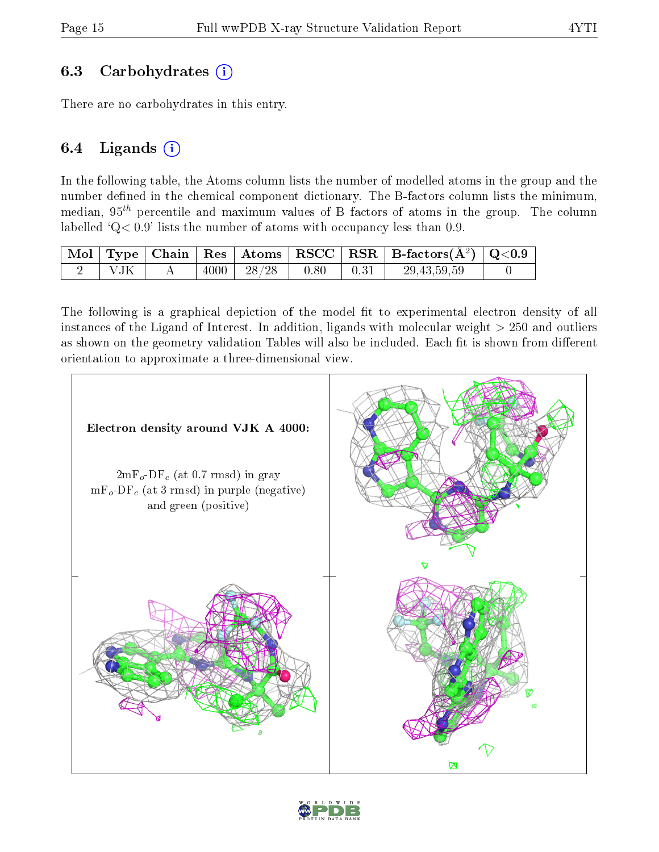### 6.3 Carbohydrates (i)

There are no carbohydrates in this entry.

### 6.4 Ligands  $(i)$

In the following table, the Atoms column lists the number of modelled atoms in the group and the number defined in the chemical component dictionary. The B-factors column lists the minimum, median,  $95<sup>th</sup>$  percentile and maximum values of B factors of atoms in the group. The column labelled  $Q < 0.9$ ' lists the number of atoms with occupancy less than 0.9.

|      |  |       |      | $\vert$ Mol $\vert$ Type $\vert$ Chain $\vert$ Res $\vert$ Atoms $\vert$ RSCC $\vert$ RSR $\vert$ B-factors( $A^2$ ) $\vert$ Q<0.9 |  |
|------|--|-------|------|------------------------------------------------------------------------------------------------------------------------------------|--|
| ' TK |  | 28/28 | 0.80 | 29, 43, 59, 59                                                                                                                     |  |

The following is a graphical depiction of the model fit to experimental electron density of all instances of the Ligand of Interest. In addition, ligands with molecular weight  $> 250$  and outliers as shown on the geometry validation Tables will also be included. Each fit is shown from different orientation to approximate a three-dimensional view.